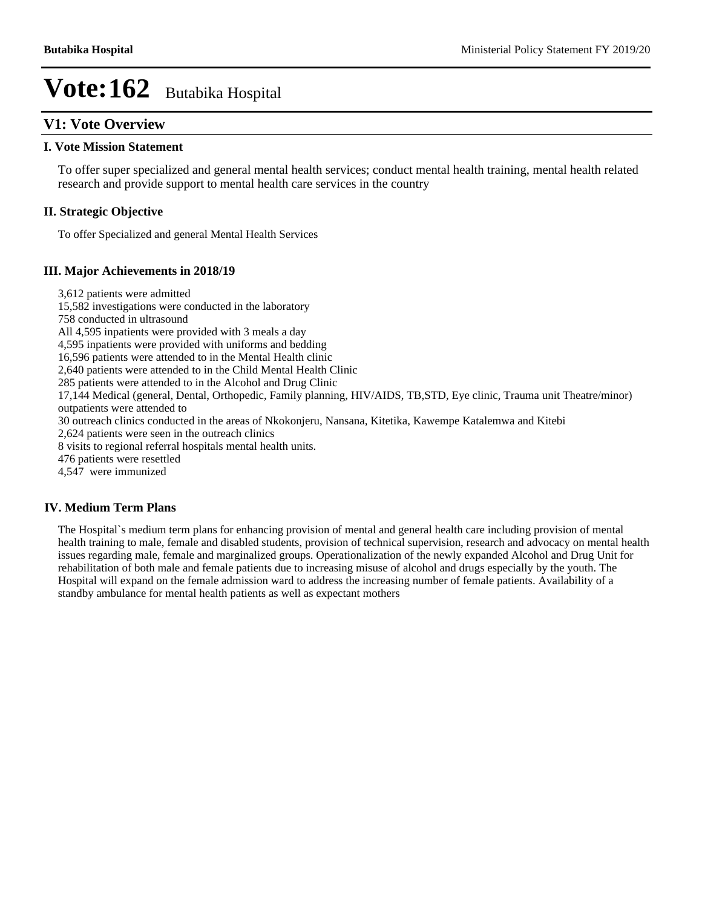## **V1: Vote Overview**

#### **I. Vote Mission Statement**

To offer super specialized and general mental health services; conduct mental health training, mental health related research and provide support to mental health care services in the country

#### **II. Strategic Objective**

To offer Specialized and general Mental Health Services

#### **III. Major Achievements in 2018/19**

3,612 patients were admitted

15,582 investigations were conducted in the laboratory

758 conducted in ultrasound

All 4,595 inpatients were provided with 3 meals a day

4,595 inpatients were provided with uniforms and bedding

16,596 patients were attended to in the Mental Health clinic

2,640 patients were attended to in the Child Mental Health Clinic

285 patients were attended to in the Alcohol and Drug Clinic

17,144 Medical (general, Dental, Orthopedic, Family planning, HIV/AIDS, TB,STD, Eye clinic, Trauma unit Theatre/minor) outpatients were attended to

30 outreach clinics conducted in the areas of Nkokonjeru, Nansana, Kitetika, Kawempe Katalemwa and Kitebi

2,624 patients were seen in the outreach clinics

8 visits to regional referral hospitals mental health units.

476 patients were resettled

4,547 were immunized

#### **IV. Medium Term Plans**

The Hospital`s medium term plans for enhancing provision of mental and general health care including provision of mental health training to male, female and disabled students, provision of technical supervision, research and advocacy on mental health issues regarding male, female and marginalized groups. Operationalization of the newly expanded Alcohol and Drug Unit for rehabilitation of both male and female patients due to increasing misuse of alcohol and drugs especially by the youth. The Hospital will expand on the female admission ward to address the increasing number of female patients. Availability of a standby ambulance for mental health patients as well as expectant mothers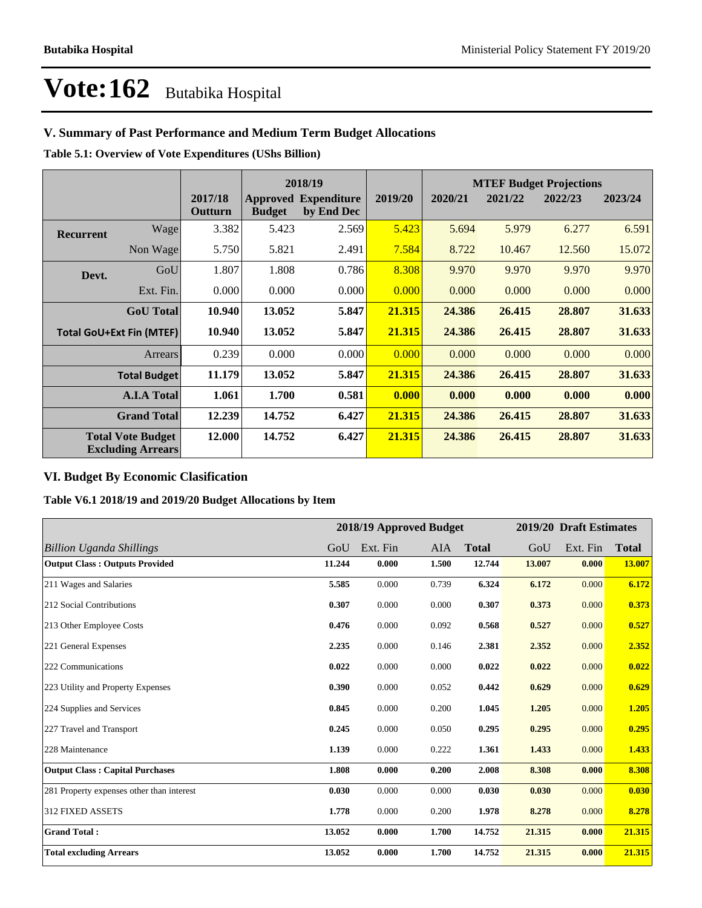## **V. Summary of Past Performance and Medium Term Budget Allocations**

**Table 5.1: Overview of Vote Expenditures (UShs Billion)**

|                                 | 2018/19                                              |                    |               | <b>MTEF Budget Projections</b>            |         |         |         |         |         |
|---------------------------------|------------------------------------------------------|--------------------|---------------|-------------------------------------------|---------|---------|---------|---------|---------|
|                                 |                                                      | 2017/18<br>Outturn | <b>Budget</b> | <b>Approved Expenditure</b><br>by End Dec | 2019/20 | 2020/21 | 2021/22 | 2022/23 | 2023/24 |
| <b>Recurrent</b>                | Wage                                                 | 3.382              | 5.423         | 2.569                                     | 5.423   | 5.694   | 5.979   | 6.277   | 6.591   |
|                                 | Non Wage                                             | 5.750              | 5.821         | 2.491                                     | 7.584   | 8.722   | 10.467  | 12.560  | 15.072  |
| Devt.                           | GoU                                                  | 1.807              | 1.808         | 0.786                                     | 8.308   | 9.970   | 9.970   | 9.970   | 9.970   |
|                                 | Ext. Fin.                                            | 0.000              | 0.000         | 0.000                                     | 0.000   | 0.000   | 0.000   | 0.000   | 0.000   |
|                                 | <b>GoU</b> Total                                     | 10.940             | 13.052        | 5.847                                     | 21.315  | 24.386  | 26.415  | 28.807  | 31.633  |
| <b>Total GoU+Ext Fin (MTEF)</b> |                                                      | 10.940             | 13.052        | 5.847                                     | 21.315  | 24.386  | 26.415  | 28.807  | 31.633  |
|                                 | Arrears                                              | 0.239              | 0.000         | 0.000                                     | 0.000   | 0.000   | 0.000   | 0.000   | 0.000   |
|                                 | <b>Total Budget</b>                                  | 11.179             | 13.052        | 5.847                                     | 21.315  | 24.386  | 26.415  | 28.807  | 31.633  |
|                                 | <b>A.I.A Total</b>                                   | 1.061              | 1.700         | 0.581                                     | 0.000   | 0.000   | 0.000   | 0.000   | 0.000   |
|                                 | <b>Grand Total</b>                                   | 12.239             | 14.752        | 6.427                                     | 21.315  | 24.386  | 26.415  | 28.807  | 31.633  |
|                                 | <b>Total Vote Budget</b><br><b>Excluding Arrears</b> | 12.000             | 14.752        | 6.427                                     | 21.315  | 24.386  | 26.415  | 28.807  | 31.633  |

### **VI. Budget By Economic Clasification**

**Table V6.1 2018/19 and 2019/20 Budget Allocations by Item**

|                                           |        | 2018/19 Approved Budget |            |              |        | 2019/20 Draft Estimates |              |
|-------------------------------------------|--------|-------------------------|------------|--------------|--------|-------------------------|--------------|
| <b>Billion Uganda Shillings</b>           | GoU    | Ext. Fin                | <b>AIA</b> | <b>Total</b> | GoU    | Ext. Fin                | <b>Total</b> |
| <b>Output Class: Outputs Provided</b>     | 11.244 | 0.000                   | 1.500      | 12.744       | 13.007 | 0.000                   | 13.007       |
| 211 Wages and Salaries                    | 5.585  | 0.000                   | 0.739      | 6.324        | 6.172  | 0.000                   | 6.172        |
| 212 Social Contributions                  | 0.307  | 0.000                   | 0.000      | 0.307        | 0.373  | 0.000                   | 0.373        |
| 213 Other Employee Costs                  | 0.476  | 0.000                   | 0.092      | 0.568        | 0.527  | 0.000                   | 0.527        |
| 221 General Expenses                      | 2.235  | 0.000                   | 0.146      | 2.381        | 2.352  | 0.000                   | 2.352        |
| 222 Communications                        | 0.022  | 0.000                   | 0.000      | 0.022        | 0.022  | 0.000                   | 0.022        |
| 223 Utility and Property Expenses         | 0.390  | 0.000                   | 0.052      | 0.442        | 0.629  | 0.000                   | 0.629        |
| 224 Supplies and Services                 | 0.845  | 0.000                   | 0.200      | 1.045        | 1.205  | 0.000                   | 1.205        |
| 227 Travel and Transport                  | 0.245  | 0.000                   | 0.050      | 0.295        | 0.295  | 0.000                   | 0.295        |
| 228 Maintenance                           | 1.139  | 0.000                   | 0.222      | 1.361        | 1.433  | 0.000                   | 1.433        |
| <b>Output Class: Capital Purchases</b>    | 1.808  | 0.000                   | 0.200      | 2.008        | 8.308  | 0.000                   | 8.308        |
| 281 Property expenses other than interest | 0.030  | 0.000                   | 0.000      | 0.030        | 0.030  | 0.000                   | 0.030        |
| 312 FIXED ASSETS                          | 1.778  | 0.000                   | 0.200      | 1.978        | 8.278  | 0.000                   | 8.278        |
| <b>Grand Total:</b>                       | 13.052 | 0.000                   | 1.700      | 14.752       | 21.315 | 0.000                   | 21.315       |
| <b>Total excluding Arrears</b>            | 13.052 | 0.000                   | 1.700      | 14.752       | 21.315 | 0.000                   | 21.315       |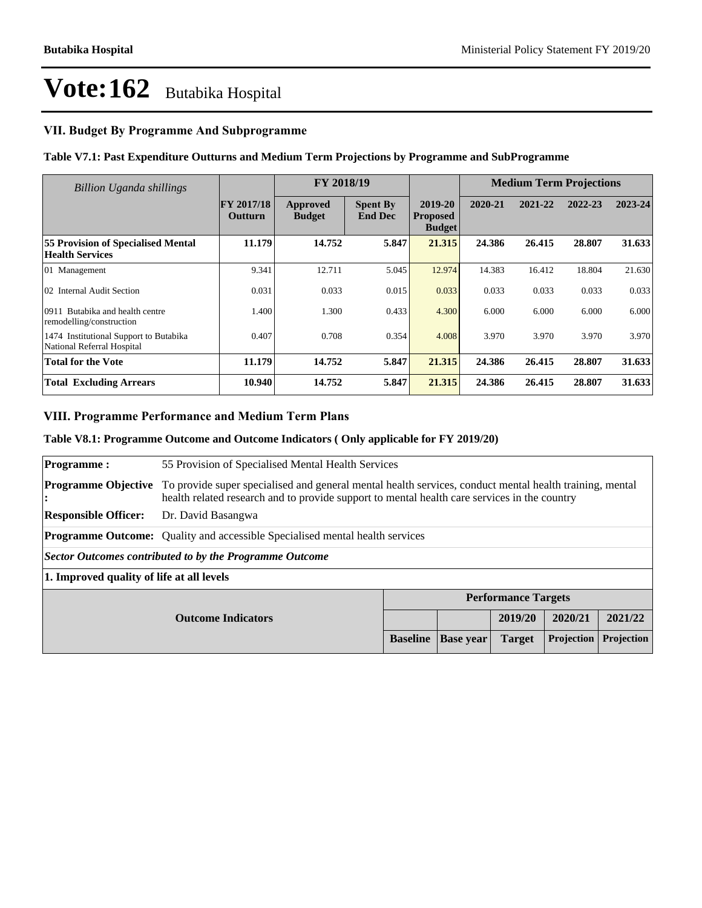## **VII. Budget By Programme And Subprogramme**

#### **Table V7.1: Past Expenditure Outturns and Medium Term Projections by Programme and SubProgramme**

| Billion Uganda shillings                                             |                              | FY 2018/19                |                                   |                                             | <b>Medium Term Projections</b> |         |         |         |
|----------------------------------------------------------------------|------------------------------|---------------------------|-----------------------------------|---------------------------------------------|--------------------------------|---------|---------|---------|
|                                                                      | FY 2017/18<br><b>Outturn</b> | Approved<br><b>Budget</b> | <b>Spent By</b><br><b>End Dec</b> | 2019-20<br><b>Proposed</b><br><b>Budget</b> | 2020-21                        | 2021-22 | 2022-23 | 2023-24 |
| <b>55 Provision of Specialised Mental</b><br><b>Health Services</b>  | 11.179                       | 14.752                    | 5.847                             | 21.315                                      | 24.386                         | 26.415  | 28.807  | 31.633  |
| 01 Management                                                        | 9.341                        | 12.711                    | 5.045                             | 12.974                                      | 14.383                         | 16.412  | 18.804  | 21.630  |
| 02 Internal Audit Section                                            | 0.031                        | 0.033                     | 0.015                             | 0.033                                       | 0.033                          | 0.033   | 0.033   | 0.033   |
| Butabika and health centre<br>0911<br>remodelling/construction       | 1.400                        | 1.300                     | 0.433                             | 4.300                                       | 6.000                          | 6.000   | 6.000   | 6.000   |
| 1474 Institutional Support to Butabika<br>National Referral Hospital | 0.407                        | 0.708                     | 0.354                             | 4.008                                       | 3.970                          | 3.970   | 3.970   | 3.970   |
| Total for the Vote                                                   | 11.179                       | 14.752                    | 5.847                             | 21.315                                      | 24.386                         | 26.415  | 28.807  | 31.633  |
| <b>Total Excluding Arrears</b>                                       | 10.940                       | 14.752                    | 5.847                             | 21.315                                      | 24.386                         | 26.415  | 28.807  | 31.633  |

#### **VIII. Programme Performance and Medium Term Plans**

#### **Table V8.1: Programme Outcome and Outcome Indicators ( Only applicable for FY 2019/20)**

| <b>Programme:</b>                               | 55 Provision of Specialised Mental Health Services                                                                                                                                                      |                 |                  |               |            |            |  |
|-------------------------------------------------|---------------------------------------------------------------------------------------------------------------------------------------------------------------------------------------------------------|-----------------|------------------|---------------|------------|------------|--|
| <b>Programme Objective</b>                      | To provide super specialised and general mental health services, conduct mental health training, mental<br>health related research and to provide support to mental health care services in the country |                 |                  |               |            |            |  |
| <b>Responsible Officer:</b>                     | Dr. David Basangwa                                                                                                                                                                                      |                 |                  |               |            |            |  |
|                                                 | <b>Programme Outcome:</b> Quality and accessible Specialised mental health services                                                                                                                     |                 |                  |               |            |            |  |
|                                                 | Sector Outcomes contributed to by the Programme Outcome                                                                                                                                                 |                 |                  |               |            |            |  |
|                                                 | 1. Improved quality of life at all levels                                                                                                                                                               |                 |                  |               |            |            |  |
| <b>Performance Targets</b>                      |                                                                                                                                                                                                         |                 |                  |               |            |            |  |
| 2019/20<br>2020/21<br><b>Outcome Indicators</b> |                                                                                                                                                                                                         |                 |                  |               | 2021/22    |            |  |
|                                                 |                                                                                                                                                                                                         | <b>Baseline</b> | <b>Base</b> year | <b>Target</b> | Projection | Projection |  |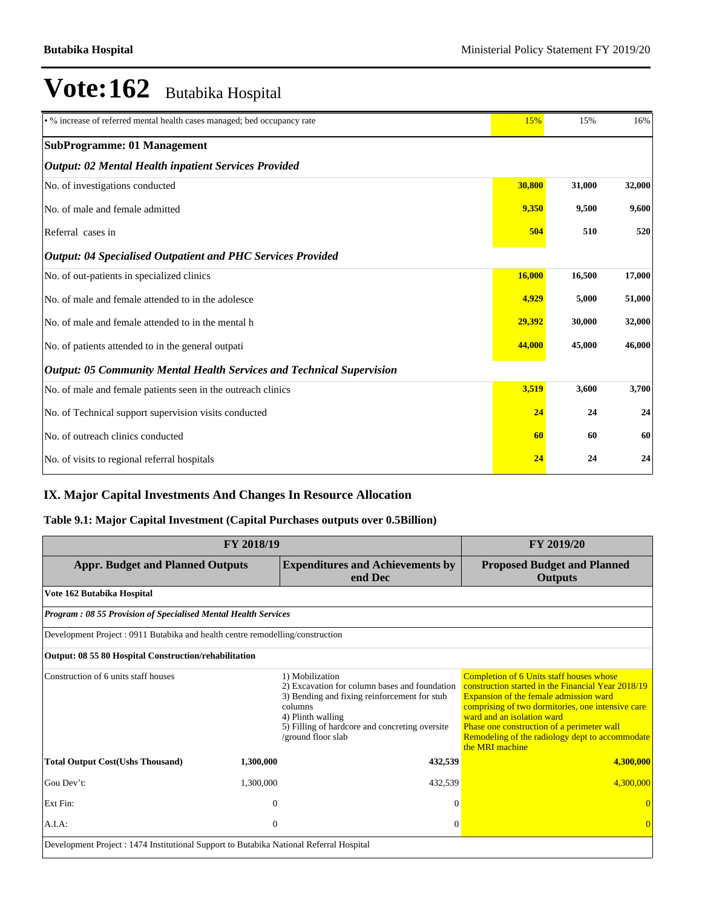| · % increase of referred mental health cases managed; bed occupancy rate     | 15%    | 15%    | 16%    |
|------------------------------------------------------------------------------|--------|--------|--------|
| <b>SubProgramme: 01 Management</b>                                           |        |        |        |
| <b>Output: 02 Mental Health inpatient Services Provided</b>                  |        |        |        |
| No. of investigations conducted                                              | 30,800 | 31,000 | 32,000 |
| No. of male and female admitted                                              | 9,350  | 9,500  | 9,600  |
| Referral cases in                                                            | 504    | 510    | 520    |
| <b>Output: 04 Specialised Outpatient and PHC Services Provided</b>           |        |        |        |
| No. of out-patients in specialized clinics                                   | 16,000 | 16,500 | 17,000 |
| No. of male and female attended to in the adolesce                           | 4,929  | 5,000  | 51,000 |
| No. of male and female attended to in the mental h                           | 29,392 | 30,000 | 32,000 |
| No. of patients attended to in the general outpati                           | 44,000 | 45,000 | 46,000 |
| <b>Output: 05 Community Mental Health Services and Technical Supervision</b> |        |        |        |
| No. of male and female patients seen in the outreach clinics                 | 3,519  | 3,600  | 3,700  |
| No. of Technical support supervision visits conducted                        | 24     | 24     | 24     |
| No. of outreach clinics conducted                                            | 60     | 60     | 60     |
| No. of visits to regional referral hospitals                                 | 24     | 24     | 24     |

## **IX. Major Capital Investments And Changes In Resource Allocation**

## **Table 9.1: Major Capital Investment (Capital Purchases outputs over 0.5Billion)**

| FY 2018/19                                                                              | FY 2019/20     |                                                                                                                                                                                                                          |                                                                                                                                                                                                                                                                                                                                                        |
|-----------------------------------------------------------------------------------------|----------------|--------------------------------------------------------------------------------------------------------------------------------------------------------------------------------------------------------------------------|--------------------------------------------------------------------------------------------------------------------------------------------------------------------------------------------------------------------------------------------------------------------------------------------------------------------------------------------------------|
| <b>Appr. Budget and Planned Outputs</b>                                                 |                | <b>Expenditures and Achievements by</b><br>end Dec                                                                                                                                                                       | <b>Proposed Budget and Planned</b><br><b>Outputs</b>                                                                                                                                                                                                                                                                                                   |
| Vote 162 Butabika Hospital                                                              |                |                                                                                                                                                                                                                          |                                                                                                                                                                                                                                                                                                                                                        |
| <b>Program: 08 55 Provision of Specialised Mental Health Services</b>                   |                |                                                                                                                                                                                                                          |                                                                                                                                                                                                                                                                                                                                                        |
| Development Project : 0911 Butabika and health centre remodelling/construction          |                |                                                                                                                                                                                                                          |                                                                                                                                                                                                                                                                                                                                                        |
| Output: 08 55 80 Hospital Construction/rehabilitation                                   |                |                                                                                                                                                                                                                          |                                                                                                                                                                                                                                                                                                                                                        |
| Construction of 6 units staff houses                                                    |                | 1) Mobilization<br>2) Excavation for column bases and foundation<br>3) Bending and fixing reinforcement for stub<br>columns<br>4) Plinth walling<br>5) Filling of hardcore and concreting oversite<br>/ground floor slab | <b>Completion of 6 Units staff houses whose</b><br>construction started in the Financial Year 2018/19<br>Expansion of the female admission ward<br>comprising of two dormitories, one intensive care<br>ward and an isolation ward<br>Phase one construction of a perimeter wall<br>Remodeling of the radiology dept to accommodate<br>the MRI machine |
| <b>Total Output Cost(Ushs Thousand)</b>                                                 | 1,300,000      | 432,539                                                                                                                                                                                                                  | 4,300,000                                                                                                                                                                                                                                                                                                                                              |
| Gou Dev't:                                                                              | 1,300,000      | 432,539                                                                                                                                                                                                                  | 4.300,000                                                                                                                                                                                                                                                                                                                                              |
| Ext Fin:                                                                                | $\overline{0}$ | $\theta$                                                                                                                                                                                                                 |                                                                                                                                                                                                                                                                                                                                                        |
| A.I.A.                                                                                  | $\theta$       | $\Omega$                                                                                                                                                                                                                 | $\Omega$                                                                                                                                                                                                                                                                                                                                               |
| Development Project : 1474 Institutional Support to Butabika National Referral Hospital |                |                                                                                                                                                                                                                          |                                                                                                                                                                                                                                                                                                                                                        |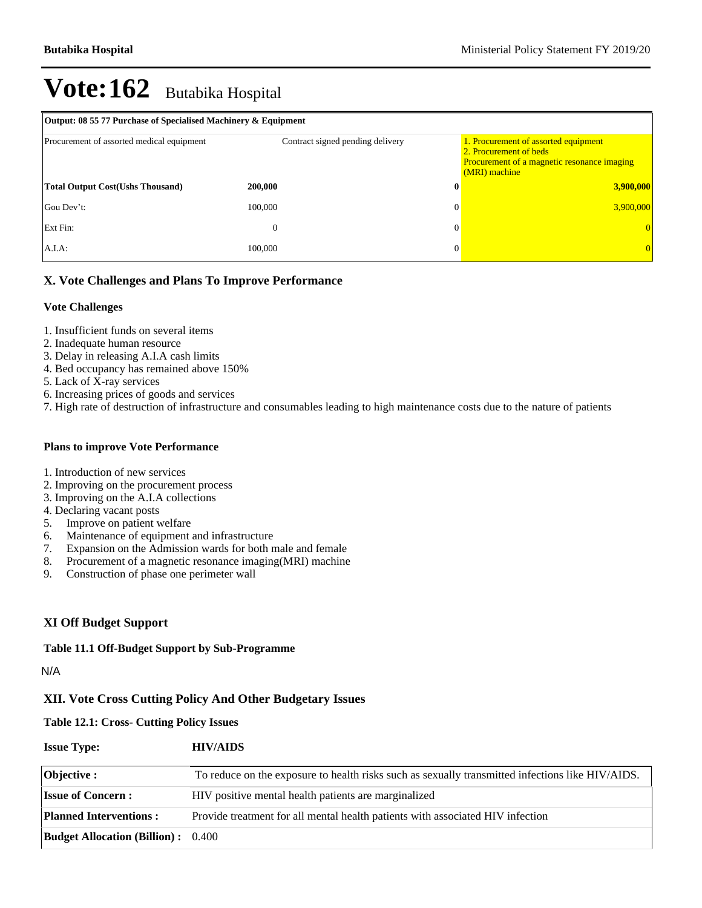| Output: 08 55 77 Purchase of Specialised Machinery & Equipment |                                  |                                         |                                                                                     |  |  |  |  |
|----------------------------------------------------------------|----------------------------------|-----------------------------------------|-------------------------------------------------------------------------------------|--|--|--|--|
| Procurement of assorted medical equipment                      | Contract signed pending delivery | 2. Procurement of beds<br>(MRI) machine | 1. Procurement of assorted equipment<br>Procurement of a magnetic resonance imaging |  |  |  |  |
| <b>Total Output Cost (Ushs Thousand)</b>                       | 200,000                          |                                         | 3,900,000                                                                           |  |  |  |  |
| Gou Dev't:                                                     | 100,000                          |                                         | 3,900,000                                                                           |  |  |  |  |
| Ext Fin:                                                       | $\theta$                         |                                         |                                                                                     |  |  |  |  |
| A.I.A:                                                         | 100,000                          |                                         |                                                                                     |  |  |  |  |

## **X. Vote Challenges and Plans To Improve Performance**

#### **Vote Challenges**

- 1. Insufficient funds on several items
- 2. Inadequate human resource
- 3. Delay in releasing A.I.A cash limits
- 4. Bed occupancy has remained above 150%
- 5. Lack of X-ray services
- 6. Increasing prices of goods and services
- 7. High rate of destruction of infrastructure and consumables leading to high maintenance costs due to the nature of patients

#### **Plans to improve Vote Performance**

- 1. Introduction of new services
- 2. Improving on the procurement process
- 3. Improving on the A.I.A collections
- 4. Declaring vacant posts
- 5. Improve on patient welfare
- 6. Maintenance of equipment and infrastructure
- 7. Expansion on the Admission wards for both male and female
- 8. Procurement of a magnetic resonance imaging(MRI) machine
- 9. Construction of phase one perimeter wall

### **XI Off Budget Support**

#### **Table 11.1 Off-Budget Support by Sub-Programme**

N/A

#### **XII. Vote Cross Cutting Policy And Other Budgetary Issues**

**Table 12.1: Cross- Cutting Policy Issues**

| <b>Issue Type:</b> | <b>HIV/AIDS</b> |
|--------------------|-----------------|
|                    |                 |

| Objective :                               | To reduce on the exposure to health risks such as sexually transmitted infections like HIV/AIDS. |
|-------------------------------------------|--------------------------------------------------------------------------------------------------|
| <b>Issue of Concern:</b>                  | HIV positive mental health patients are marginalized                                             |
| <b>Planned Interventions:</b>             | Provide treatment for all mental health patients with associated HIV infection                   |
| <b>Budget Allocation (Billion):</b> 0.400 |                                                                                                  |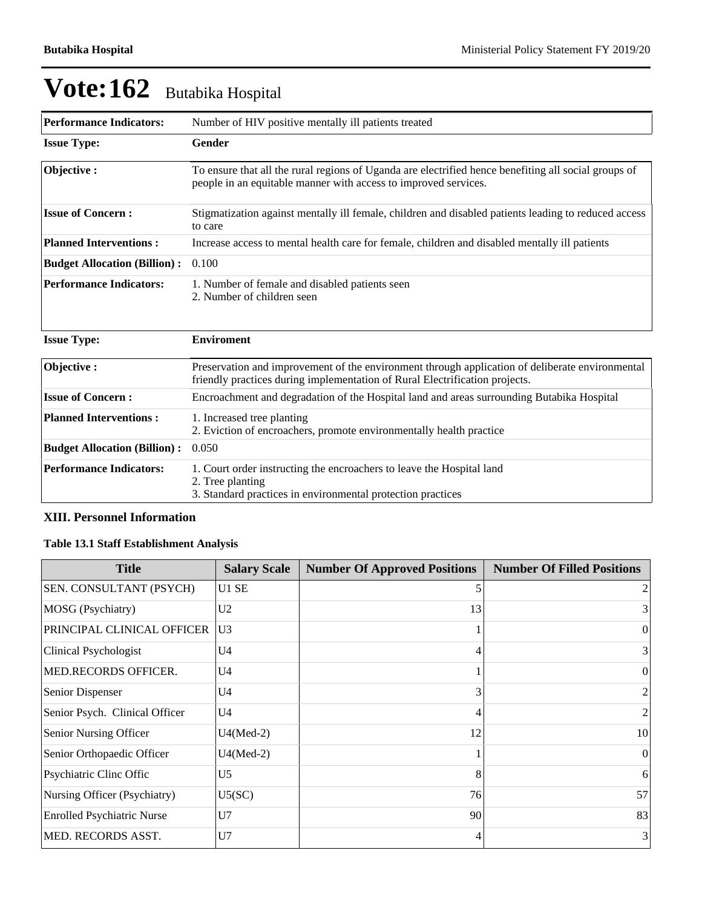| <b>Performance Indicators:</b>      | Number of HIV positive mentally ill patients treated                                                                                                                           |  |  |  |  |
|-------------------------------------|--------------------------------------------------------------------------------------------------------------------------------------------------------------------------------|--|--|--|--|
| <b>Issue Type:</b>                  | Gender                                                                                                                                                                         |  |  |  |  |
| Objective:                          | To ensure that all the rural regions of Uganda are electrified hence benefiting all social groups of<br>people in an equitable manner with access to improved services.        |  |  |  |  |
| <b>Issue of Concern:</b>            | Stigmatization against mentally ill female, children and disabled patients leading to reduced access<br>to care                                                                |  |  |  |  |
| <b>Planned Interventions:</b>       | Increase access to mental health care for female, children and disabled mentally ill patients                                                                                  |  |  |  |  |
| <b>Budget Allocation (Billion):</b> | 0.100                                                                                                                                                                          |  |  |  |  |
| <b>Performance Indicators:</b>      | 1. Number of female and disabled patients seen<br>2. Number of children seen                                                                                                   |  |  |  |  |
| <b>Issue Type:</b>                  | <b>Enviroment</b>                                                                                                                                                              |  |  |  |  |
| Objective:                          | Preservation and improvement of the environment through application of deliberate environmental<br>friendly practices during implementation of Rural Electrification projects. |  |  |  |  |
| <b>Issue of Concern:</b>            | Encroachment and degradation of the Hospital land and areas surrounding Butabika Hospital                                                                                      |  |  |  |  |
| <b>Planned Interventions:</b>       | 1. Increased tree planting<br>2. Eviction of encroachers, promote environmentally health practice                                                                              |  |  |  |  |

| <b>Budget Allocation (Billion) :</b> 0.050 |                                                                                                                                                          |
|--------------------------------------------|----------------------------------------------------------------------------------------------------------------------------------------------------------|
| <b>Performance Indicators:</b>             | 1. Court order instructing the encroachers to leave the Hospital land<br>2. Tree planting<br>3. Standard practices in environmental protection practices |
|                                            |                                                                                                                                                          |

## **XIII. Personnel Information**

## **Table 13.1 Staff Establishment Analysis**

| <b>Title</b>                      | <b>Salary Scale</b> | <b>Number Of Approved Positions</b> | <b>Number Of Filled Positions</b> |
|-----------------------------------|---------------------|-------------------------------------|-----------------------------------|
| SEN. CONSULTANT (PSYCH)           | U1 SE               | 5                                   |                                   |
| MOSG (Psychiatry)                 | U <sub>2</sub>      | 13                                  | 3 <sub>1</sub>                    |
| PRINCIPAL CLINICAL OFFICER        | U <sub>3</sub>      |                                     | $\Omega$                          |
| Clinical Psychologist             | U4                  | 4                                   | 3                                 |
| MED.RECORDS OFFICER.              | U4                  |                                     | $\mathbf{0}$                      |
| Senior Dispenser                  | U4                  | 3                                   | $\overline{2}$                    |
| Senior Psych. Clinical Officer    | U <sub>4</sub>      | 4                                   | 2 <sub>1</sub>                    |
| Senior Nursing Officer            | $U4(Med-2)$         | 12                                  | 10 <sup>1</sup>                   |
| Senior Orthopaedic Officer        | $U4(Med-2)$         |                                     | $\Omega$                          |
| Psychiatric Cline Offic           | U <sub>5</sub>      | 8                                   | 6                                 |
| Nursing Officer (Psychiatry)      | U5(SC)              | 76                                  | 57                                |
| <b>Enrolled Psychiatric Nurse</b> | U7                  | 90                                  | 83                                |
| <b>MED. RECORDS ASST.</b>         | U7                  | 4                                   | 3                                 |